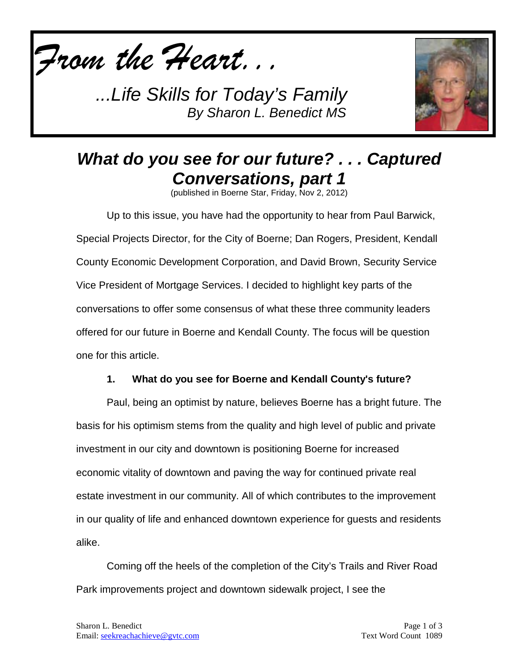*From the Heart...*



# *What do you see for our future? . . . Captured Conversations, part 1*

(published in Boerne Star, Friday, Nov 2, 2012)

Up to this issue, you have had the opportunity to hear from Paul Barwick, Special Projects Director, for the City of Boerne; Dan Rogers, President, Kendall County Economic Development Corporation, and David Brown, Security Service Vice President of Mortgage Services. I decided to highlight key parts of the conversations to offer some consensus of what these three community leaders offered for our future in Boerne and Kendall County. The focus will be question one for this article.

#### **1. What do you see for Boerne and Kendall County's future?**

Paul, being an optimist by nature, believes Boerne has a bright future. The basis for his optimism stems from the quality and high level of public and private investment in our city and downtown is positioning Boerne for increased economic vitality of downtown and paving the way for continued private real estate investment in our community. All of which contributes to the improvement in our quality of life and enhanced downtown experience for guests and residents alike.

Coming off the heels of the completion of the City's Trails and River Road Park improvements project and downtown sidewalk project, I see the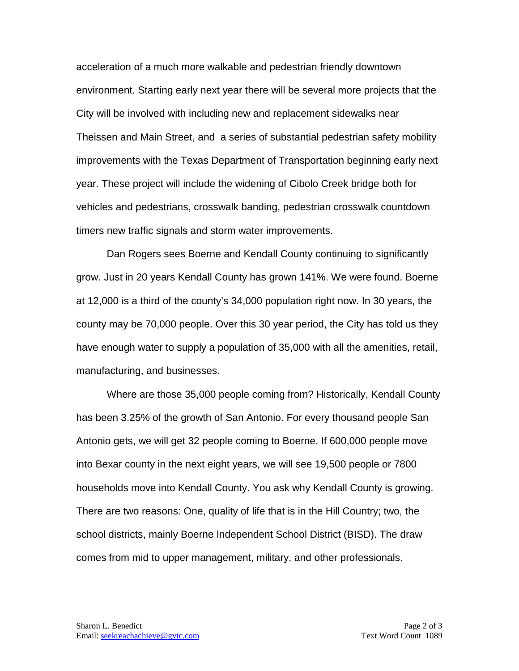acceleration of a much more walkable and pedestrian friendly downtown environment. Starting early next year there will be several more projects that the City will be involved with including new and replacement sidewalks near Theissen and Main Street, and a series of substantial pedestrian safety mobility improvements with the Texas Department of Transportation beginning early next year. These project will include the widening of Cibolo Creek bridge both for vehicles and pedestrians, crosswalk banding, pedestrian crosswalk countdown timers new traffic signals and storm water improvements.

Dan Rogers sees Boerne and Kendall County continuing to significantly grow. Just in 20 years Kendall County has grown 141%. We were found. Boerne at 12,000 is a third of the county's 34,000 population right now. In 30 years, the county may be 70,000 people. Over this 30 year period, the City has told us they have enough water to supply a population of 35,000 with all the amenities, retail, manufacturing, and businesses.

Where are those 35,000 people coming from? Historically, Kendall County has been 3.25% of the growth of San Antonio. For every thousand people San Antonio gets, we will get 32 people coming to Boerne. If 600,000 people move into Bexar county in the next eight years, we will see 19,500 people or 7800 households move into Kendall County. You ask why Kendall County is growing. There are two reasons: One, quality of life that is in the Hill Country; two, the school districts, mainly Boerne Independent School District (BISD). The draw comes from mid to upper management, military, and other professionals.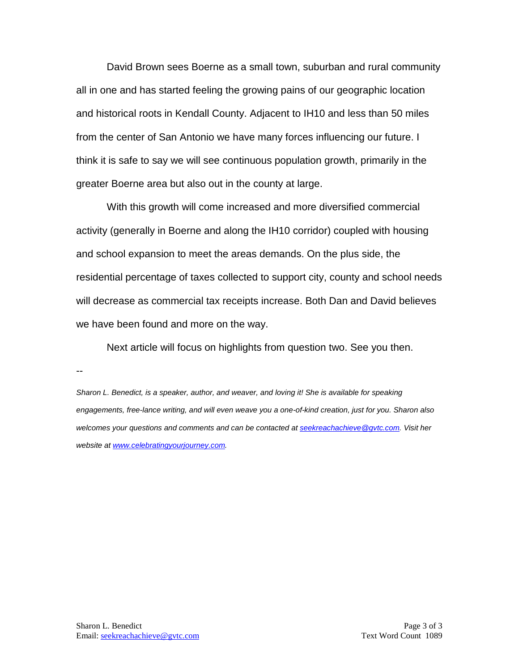David Brown sees Boerne as a small town, suburban and rural community all in one and has started feeling the growing pains of our geographic location and historical roots in Kendall County. Adjacent to IH10 and less than 50 miles from the center of San Antonio we have many forces influencing our future. I think it is safe to say we will see continuous population growth, primarily in the greater Boerne area but also out in the county at large.

With this growth will come increased and more diversified commercial activity (generally in Boerne and along the IH10 corridor) coupled with housing and school expansion to meet the areas demands. On the plus side, the residential percentage of taxes collected to support city, county and school needs will decrease as commercial tax receipts increase. Both Dan and David believes we have been found and more on the way.

Next article will focus on highlights from question two. See you then.

--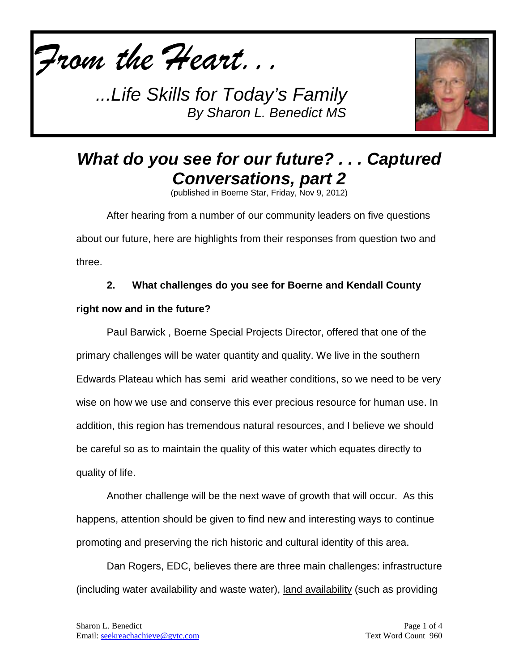



# *What do you see for our future? . . . Captured Conversations, part 2*

(published in Boerne Star, Friday, Nov 9, 2012)

After hearing from a number of our community leaders on five questions about our future, here are highlights from their responses from question two and three.

### **2. What challenges do you see for Boerne and Kendall County**

### **right now and in the future?**

Paul Barwick , Boerne Special Projects Director, offered that one of the primary challenges will be water quantity and quality. We live in the southern Edwards Plateau which has semi arid weather conditions, so we need to be very wise on how we use and conserve this ever precious resource for human use. In addition, this region has tremendous natural resources, and I believe we should be careful so as to maintain the quality of this water which equates directly to quality of life.

Another challenge will be the next wave of growth that will occur. As this happens, attention should be given to find new and interesting ways to continue promoting and preserving the rich historic and cultural identity of this area.

Dan Rogers, EDC, believes there are three main challenges: infrastructure (including water availability and waste water), land availability (such as providing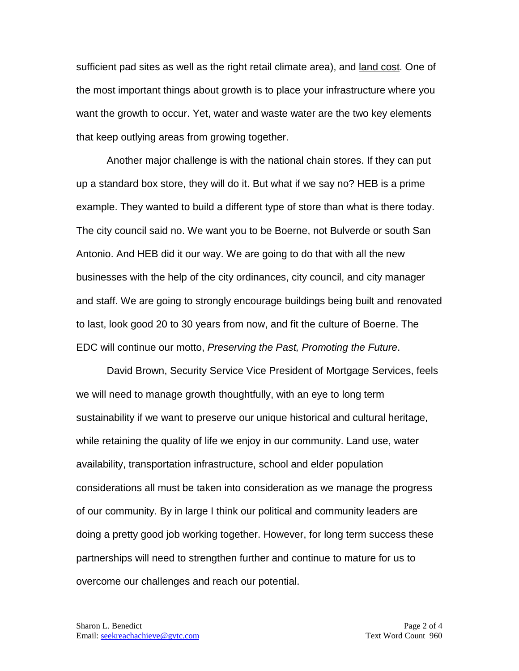sufficient pad sites as well as the right retail climate area), and <u>land cost</u>. One of the most important things about growth is to place your infrastructure where you want the growth to occur. Yet, water and waste water are the two key elements that keep outlying areas from growing together.

Another major challenge is with the national chain stores. If they can put up a standard box store, they will do it. But what if we say no? HEB is a prime example. They wanted to build a different type of store than what is there today. The city council said no. We want you to be Boerne, not Bulverde or south San Antonio. And HEB did it our way. We are going to do that with all the new businesses with the help of the city ordinances, city council, and city manager and staff. We are going to strongly encourage buildings being built and renovated to last, look good 20 to 30 years from now, and fit the culture of Boerne. The EDC will continue our motto, *Preserving the Past, Promoting the Future*.

David Brown, Security Service Vice President of Mortgage Services, feels we will need to manage growth thoughtfully, with an eye to long term sustainability if we want to preserve our unique historical and cultural heritage, while retaining the quality of life we enjoy in our community. Land use, water availability, transportation infrastructure, school and elder population considerations all must be taken into consideration as we manage the progress of our community. By in large I think our political and community leaders are doing a pretty good job working together. However, for long term success these partnerships will need to strengthen further and continue to mature for us to overcome our challenges and reach our potential.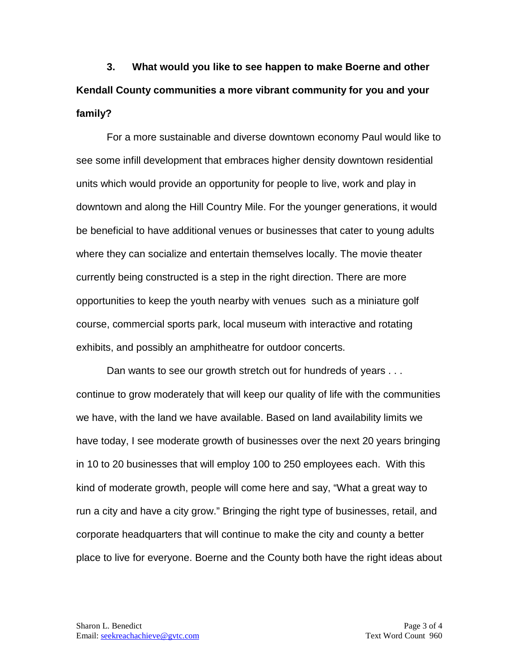**3. What would you like to see happen to make Boerne and other Kendall County communities a more vibrant community for you and your family?**

For a more sustainable and diverse downtown economy Paul would like to see some infill development that embraces higher density downtown residential units which would provide an opportunity for people to live, work and play in downtown and along the Hill Country Mile. For the younger generations, it would be beneficial to have additional venues or businesses that cater to young adults where they can socialize and entertain themselves locally. The movie theater currently being constructed is a step in the right direction. There are more opportunities to keep the youth nearby with venues such as a miniature golf course, commercial sports park, local museum with interactive and rotating exhibits, and possibly an amphitheatre for outdoor concerts.

Dan wants to see our growth stretch out for hundreds of years . . . continue to grow moderately that will keep our quality of life with the communities we have, with the land we have available. Based on land availability limits we have today, I see moderate growth of businesses over the next 20 years bringing in 10 to 20 businesses that will employ 100 to 250 employees each. With this kind of moderate growth, people will come here and say, "What a great way to run a city and have a city grow." Bringing the right type of businesses, retail, and corporate headquarters that will continue to make the city and county a better place to live for everyone. Boerne and the County both have the right ideas about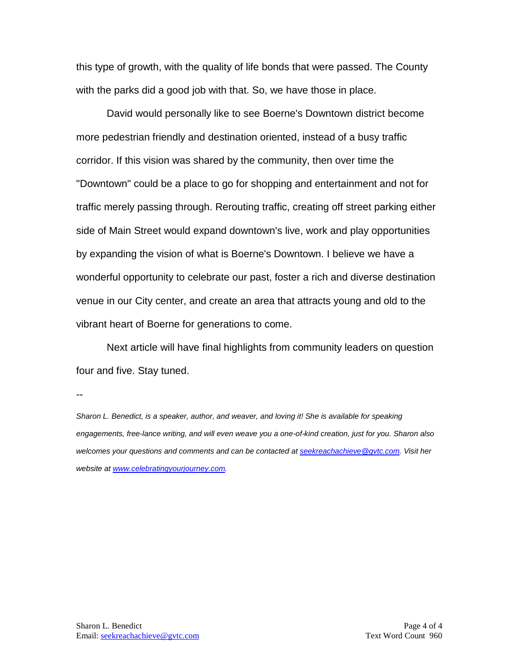this type of growth, with the quality of life bonds that were passed. The County with the parks did a good job with that. So, we have those in place.

David would personally like to see Boerne's Downtown district become more pedestrian friendly and destination oriented, instead of a busy traffic corridor. If this vision was shared by the community, then over time the "Downtown" could be a place to go for shopping and entertainment and not for traffic merely passing through. Rerouting traffic, creating off street parking either side of Main Street would expand downtown's live, work and play opportunities by expanding the vision of what is Boerne's Downtown. I believe we have a wonderful opportunity to celebrate our past, foster a rich and diverse destination venue in our City center, and create an area that attracts young and old to the vibrant heart of Boerne for generations to come.

Next article will have final highlights from community leaders on question four and five. Stay tuned.

--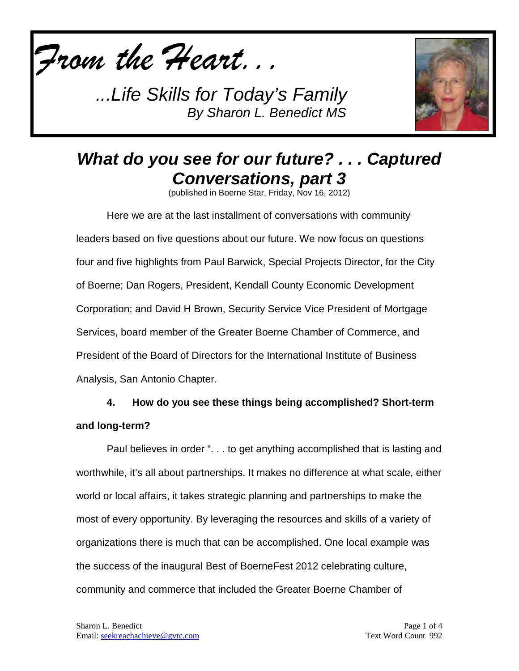*From the Heart...*



# *What do you see for our future? . . . Captured Conversations, part 3*

(published in Boerne Star, Friday, Nov 16, 2012)

Here we are at the last installment of conversations with community leaders based on five questions about our future. We now focus on questions four and five highlights from Paul Barwick, Special Projects Director, for the City of Boerne; Dan Rogers, President, Kendall County Economic Development Corporation; and David H Brown, Security Service Vice President of Mortgage Services, board member of the Greater Boerne Chamber of Commerce, and President of the Board of Directors for the International Institute of Business Analysis, San Antonio Chapter.

## **4. How do you see these things being accomplished? Short-term and long-term?**

Paul believes in order ". . . to get anything accomplished that is lasting and worthwhile, it's all about partnerships. It makes no difference at what scale, either world or local affairs, it takes strategic planning and partnerships to make the most of every opportunity. By leveraging the resources and skills of a variety of organizations there is much that can be accomplished. One local example was the success of the inaugural Best of BoerneFest 2012 celebrating culture, community and commerce that included the Greater Boerne Chamber of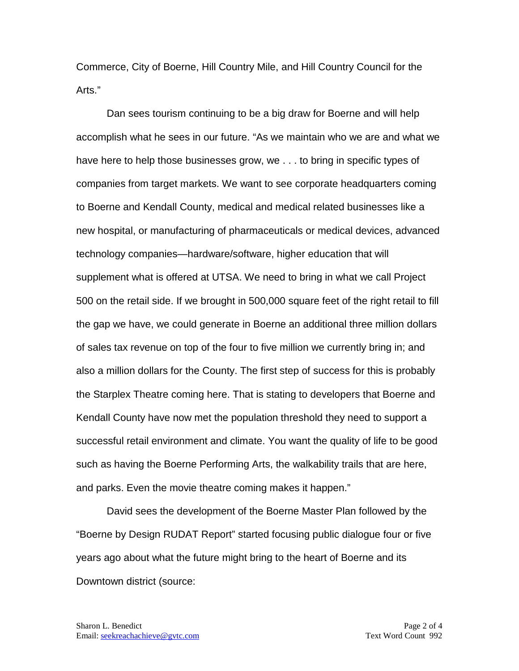Commerce, City of Boerne, Hill Country Mile, and Hill Country Council for the Arts."

Dan sees tourism continuing to be a big draw for Boerne and will help accomplish what he sees in our future. "As we maintain who we are and what we have here to help those businesses grow, we . . . to bring in specific types of companies from target markets. We want to see corporate headquarters coming to Boerne and Kendall County, medical and medical related businesses like a new hospital, or manufacturing of pharmaceuticals or medical devices, advanced technology companies—hardware/software, higher education that will supplement what is offered at UTSA. We need to bring in what we call Project 500 on the retail side. If we brought in 500,000 square feet of the right retail to fill the gap we have, we could generate in Boerne an additional three million dollars of sales tax revenue on top of the four to five million we currently bring in; and also a million dollars for the County. The first step of success for this is probably the Starplex Theatre coming here. That is stating to developers that Boerne and Kendall County have now met the population threshold they need to support a successful retail environment and climate. You want the quality of life to be good such as having the Boerne Performing Arts, the walkability trails that are here, and parks. Even the movie theatre coming makes it happen."

David sees the development of the Boerne Master Plan followed by the "Boerne by Design RUDAT Report" started focusing public dialogue four or five years ago about what the future might bring to the heart of Boerne and its Downtown district (source: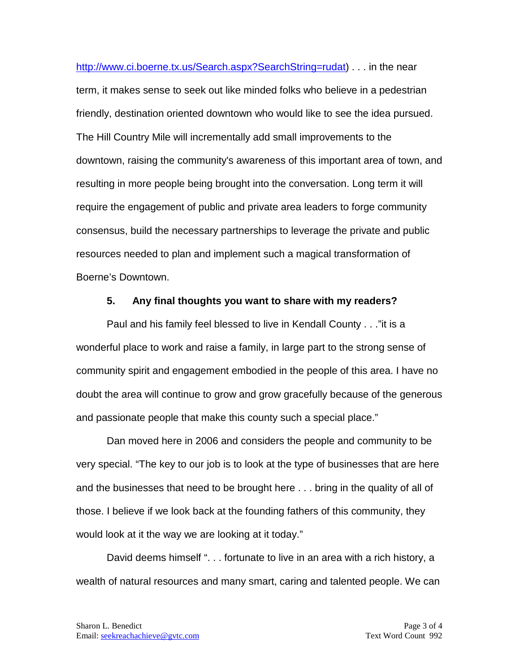[http://www.ci.boerne.tx.us/Search.aspx?SearchString=rudat\)](http://www.ci.boerne.tx.us/Search.aspx?SearchString=rudat) . . . in the near term, it makes sense to seek out like minded folks who believe in a pedestrian friendly, destination oriented downtown who would like to see the idea pursued. The Hill Country Mile will incrementally add small improvements to the downtown, raising the community's awareness of this important area of town, and resulting in more people being brought into the conversation. Long term it will require the engagement of public and private area leaders to forge community consensus, build the necessary partnerships to leverage the private and public resources needed to plan and implement such a magical transformation of Boerne's Downtown.

#### **5. Any final thoughts you want to share with my readers?**

Paul and his family feel blessed to live in Kendall County . . ."it is a wonderful place to work and raise a family, in large part to the strong sense of community spirit and engagement embodied in the people of this area. I have no doubt the area will continue to grow and grow gracefully because of the generous and passionate people that make this county such a special place."

Dan moved here in 2006 and considers the people and community to be very special. "The key to our job is to look at the type of businesses that are here and the businesses that need to be brought here . . . bring in the quality of all of those. I believe if we look back at the founding fathers of this community, they would look at it the way we are looking at it today."

David deems himself ". . . fortunate to live in an area with a rich history, a wealth of natural resources and many smart, caring and talented people. We can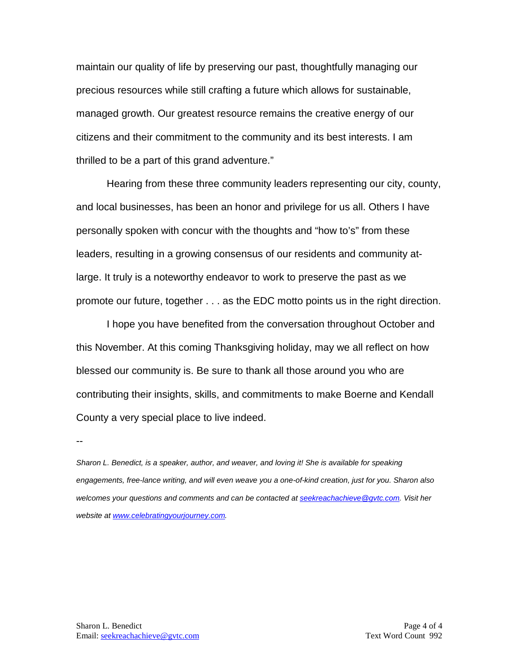maintain our quality of life by preserving our past, thoughtfully managing our precious resources while still crafting a future which allows for sustainable, managed growth. Our greatest resource remains the creative energy of our citizens and their commitment to the community and its best interests. I am thrilled to be a part of this grand adventure."

Hearing from these three community leaders representing our city, county, and local businesses, has been an honor and privilege for us all. Others I have personally spoken with concur with the thoughts and "how to's" from these leaders, resulting in a growing consensus of our residents and community atlarge. It truly is a noteworthy endeavor to work to preserve the past as we promote our future, together . . . as the EDC motto points us in the right direction.

I hope you have benefited from the conversation throughout October and this November. At this coming Thanksgiving holiday, may we all reflect on how blessed our community is. Be sure to thank all those around you who are contributing their insights, skills, and commitments to make Boerne and Kendall County a very special place to live indeed.

--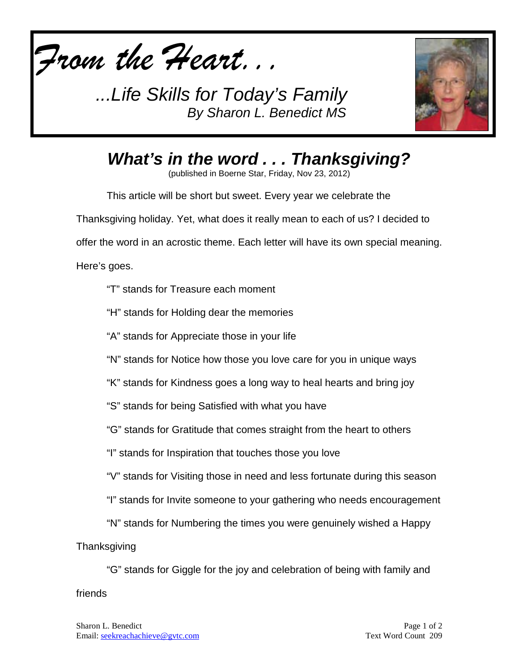



*What's in the word . . . Thanksgiving?*

(published in Boerne Star, Friday, Nov 23, 2012)

This article will be short but sweet. Every year we celebrate the Thanksgiving holiday. Yet, what does it really mean to each of us? I decided to offer the word in an acrostic theme. Each letter will have its own special meaning. Here's goes.

"T" stands for Treasure each moment

"H" stands for Holding dear the memories

"A" stands for Appreciate those in your life

"N" stands for Notice how those you love care for you in unique ways

"K" stands for Kindness goes a long way to heal hearts and bring joy

"S" stands for being Satisfied with what you have

"G" stands for Gratitude that comes straight from the heart to others

"I" stands for Inspiration that touches those you love

"V" stands for Visiting those in need and less fortunate during this season

"I" stands for Invite someone to your gathering who needs encouragement

"N" stands for Numbering the times you were genuinely wished a Happy

**Thanksgiving** 

"G" stands for Giggle for the joy and celebration of being with family and friends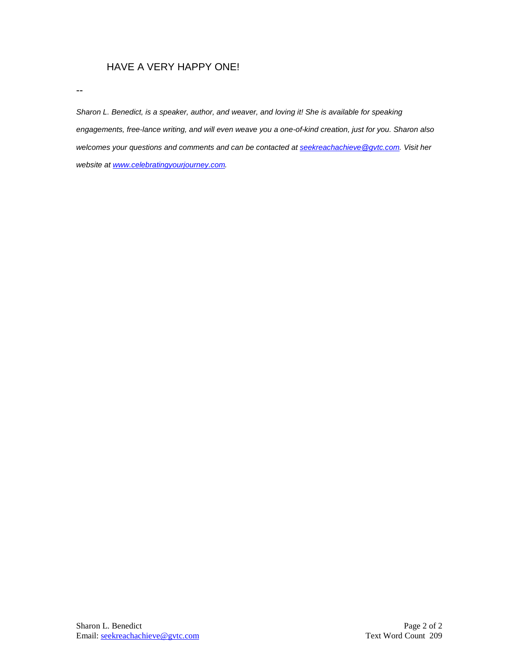#### HAVE A VERY HAPPY ONE!

--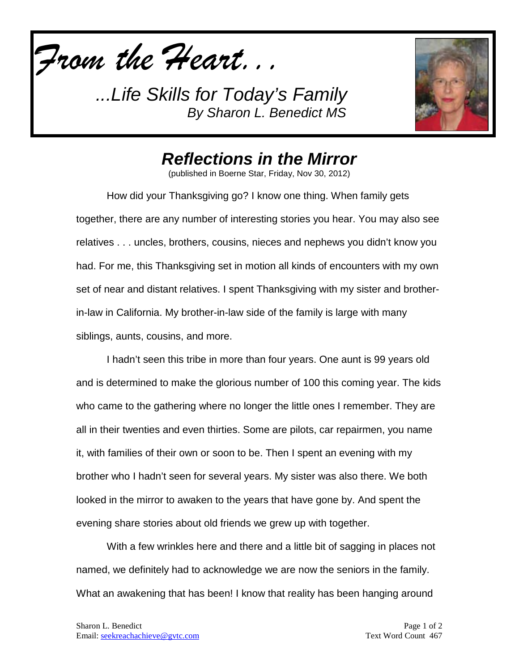*From the Heart...*



## *Reflections in the Mirror*

(published in Boerne Star, Friday, Nov 30, 2012)

How did your Thanksgiving go? I know one thing. When family gets together, there are any number of interesting stories you hear. You may also see relatives . . . uncles, brothers, cousins, nieces and nephews you didn't know you had. For me, this Thanksgiving set in motion all kinds of encounters with my own set of near and distant relatives. I spent Thanksgiving with my sister and brotherin-law in California. My brother-in-law side of the family is large with many siblings, aunts, cousins, and more.

I hadn't seen this tribe in more than four years. One aunt is 99 years old and is determined to make the glorious number of 100 this coming year. The kids who came to the gathering where no longer the little ones I remember. They are all in their twenties and even thirties. Some are pilots, car repairmen, you name it, with families of their own or soon to be. Then I spent an evening with my brother who I hadn't seen for several years. My sister was also there. We both looked in the mirror to awaken to the years that have gone by. And spent the evening share stories about old friends we grew up with together.

With a few wrinkles here and there and a little bit of sagging in places not named, we definitely had to acknowledge we are now the seniors in the family. What an awakening that has been! I know that reality has been hanging around